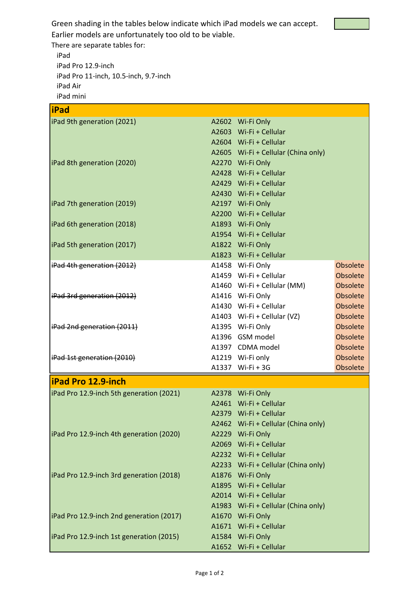Green shading in the tables below indicate which iPad models we can accept.



Earlier models are unfortunately too old to be viable.

There are separate tables for:

 $\overline{1}$ 

iPad iPad Pro 12.9-inch iPad Pro 11-inch, 10.5-inch, 9.7-inch iPad Air iPad mini

| iPad                                     |                                     |          |
|------------------------------------------|-------------------------------------|----------|
| iPad 9th generation (2021)               | A2602 Wi-Fi Only                    |          |
|                                          | A2603 Wi-Fi + Cellular              |          |
|                                          | A2604 Wi-Fi + Cellular              |          |
|                                          | A2605 Wi-Fi + Cellular (China only) |          |
| iPad 8th generation (2020)               | A2270 Wi-Fi Only                    |          |
|                                          | A2428 Wi-Fi + Cellular              |          |
|                                          | A2429 Wi-Fi + Cellular              |          |
|                                          | A2430 Wi-Fi + Cellular              |          |
| iPad 7th generation (2019)               | A2197 Wi-Fi Only                    |          |
|                                          | A2200 Wi-Fi + Cellular              |          |
| iPad 6th generation (2018)               | A1893 Wi-Fi Only                    |          |
|                                          | A1954 Wi-Fi + Cellular              |          |
| iPad 5th generation (2017)               | A1822 Wi-Fi Only                    |          |
|                                          | A1823 Wi-Fi + Cellular              |          |
| iPad 4th generation (2012)               | A1458 Wi-Fi Only                    | Obsolete |
|                                          | A1459 Wi-Fi + Cellular              | Obsolete |
|                                          | A1460 Wi-Fi + Cellular (MM)         | Obsolete |
| iPad 3rd generation (2012)               | A1416 Wi-Fi Only                    | Obsolete |
|                                          | A1430 Wi-Fi + Cellular              | Obsolete |
|                                          | A1403 Wi-Fi + Cellular (VZ)         | Obsolete |
| iPad 2nd generation (2011)               | A1395 Wi-Fi Only                    | Obsolete |
|                                          | A1396 GSM model                     | Obsolete |
|                                          | A1397 CDMA model                    | Obsolete |
| iPad 1st generation (2010)               | A1219 Wi-Fi only                    | Obsolete |
|                                          | A1337 Wi-Fi + 3G                    | Obsolete |
| <b>iPad Pro 12.9-inch</b>                |                                     |          |
| iPad Pro 12.9-inch 5th generation (2021) | A2378 Wi-Fi Only                    |          |
|                                          | A2461 Wi-Fi + Cellular              |          |
|                                          | A2379 Wi-Fi + Cellular              |          |
|                                          | A2462 Wi-Fi + Cellular (China only) |          |
| iPad Pro 12.9-inch 4th generation (2020) | A2229 Wi-Fi Only                    |          |
|                                          | A2069 Wi-Fi + Cellular              |          |
|                                          | A2232 Wi-Fi + Cellular              |          |
|                                          | A2233 Wi-Fi + Cellular (China only) |          |
| iPad Pro 12.9-inch 3rd generation (2018) | A1876 Wi-Fi Only                    |          |
|                                          | A1895 Wi-Fi + Cellular              |          |
|                                          | A2014 Wi-Fi + Cellular              |          |
|                                          | A1983 Wi-Fi + Cellular (China only) |          |
| iPad Pro 12.9-inch 2nd generation (2017) | A1670 Wi-Fi Only                    |          |
|                                          | A1671 Wi-Fi + Cellular              |          |
| iPad Pro 12.9-inch 1st generation (2015) | A1584 Wi-Fi Only                    |          |
|                                          | A1652 Wi-Fi + Cellular              |          |